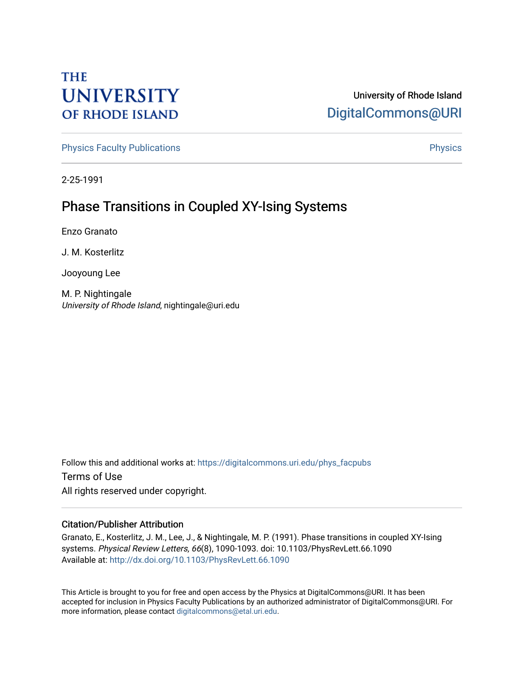# **THE UNIVERSITY OF RHODE ISLAND**

### University of Rhode Island [DigitalCommons@URI](https://digitalcommons.uri.edu/)

[Physics Faculty Publications](https://digitalcommons.uri.edu/phys_facpubs) **Physics** [Physics](https://digitalcommons.uri.edu/phys) Physics

2-25-1991

## Phase Transitions in Coupled XY-Ising Systems

Enzo Granato

J. M. Kosterlitz

Jooyoung Lee

M. P. Nightingale University of Rhode Island, nightingale@uri.edu

Follow this and additional works at: [https://digitalcommons.uri.edu/phys\\_facpubs](https://digitalcommons.uri.edu/phys_facpubs?utm_source=digitalcommons.uri.edu%2Fphys_facpubs%2F263&utm_medium=PDF&utm_campaign=PDFCoverPages)  Terms of Use All rights reserved under copyright.

#### Citation/Publisher Attribution

Granato, E., Kosterlitz, J. M., Lee, J., & Nightingale, M. P. (1991). Phase transitions in coupled XY-Ising systems. Physical Review Letters, 66(8), 1090-1093. doi: 10.1103/PhysRevLett.66.1090 Available at:<http://dx.doi.org/10.1103/PhysRevLett.66.1090>

This Article is brought to you for free and open access by the Physics at DigitalCommons@URI. It has been accepted for inclusion in Physics Faculty Publications by an authorized administrator of DigitalCommons@URI. For more information, please contact [digitalcommons@etal.uri.edu.](mailto:digitalcommons@etal.uri.edu)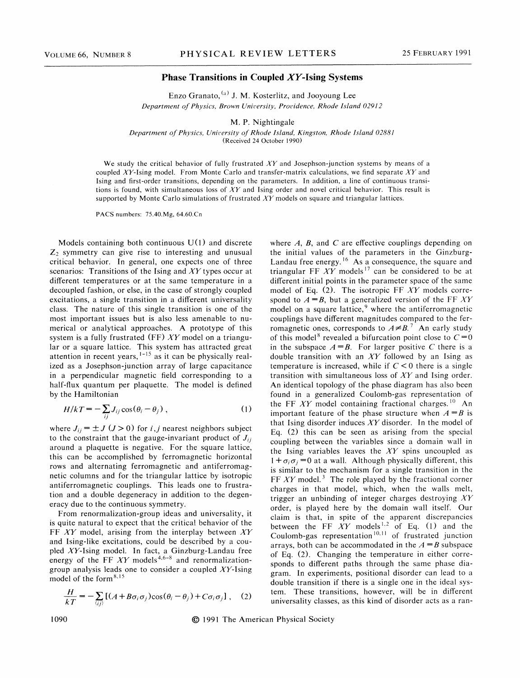#### Phase Transitions in Coupled  $XY$ -Ising Systems

Enzo Granato,  $^{(a)}$  J. M. Kosterlitz, and Jooyoung Lee Department of Physics, Brown University, Providence, Rhode Island 029I2

M. P. Nightingale

Department of Physics, University of Rhode Island, Kingston, Rhode Island 02881 (Received 24 October 1990)

We study the critical behavior of fully frustrated  $XY$  and Josephson-junction systems by means of a coupled XY-Ising model. From Monte Carlo and transfer-matrix calculations, we find separate XY and Ising and first-order transitions, depending on the parameters. In addition, a line of continuous transitions is found, with simultaneous loss of  $XY$  and Ising order and novel critical behavior. This result is supported by Monte Carlo simulations of frustrated  $XY$  models on square and triangular lattices.

PACS numbers: 75.40.Mg, 64.60.Cn

Models containing both continuous  $U(1)$  and discrete  $Z_2$  symmetry can give rise to interesting and unusual critical behavior. In general, one expects one of three scenarios: Transitions of the Ising and  $XY$  types occur at diferent temperatures or at the same temperature in a decoupled fashion, or else, in the case of strongly coupled excitations, a single transition in a different universality class. The nature of this single transition is one of the most important issues but is also less amenable to numerical or analytical approaches. A prototype of this system is a fully frustrated (FF)  $XY$  model on a triangular or a square lattice. This system has attracted great attention in recent years, <sup>1-15</sup> as it can be physically realized as a Josephson-junction array of large capacitance in a perpendicular magnetic field corresponding to a half-flux quantum per plaquette. The model is defined by the Hamiltonian

$$
H/kT = -\sum_{ij} J_{ij} \cos(\theta_i - \theta_j) , \qquad (1)
$$

where  $J_{ij} = \pm J$  ( $J > 0$ ) for i,j nearest neighbors subject to the constraint that the gauge-invariant product of  $J_{ii}$ around a plaquette is negative. For the square lattice, this can be accomplished by ferromagnetic horizontal rows and alternating ferromagnetic and antiferromagnetic columns and for the triangular lattice by isotropic antiferromagnetic couplings. This leads one to frustration and a double degeneracy in addition to the degeneracy due to the continuous symmetry.

From renormalization-group ideas and universality, it is quite natural to expect that the critical behavior of the FF  $XY$  model, arising from the interplay between  $XY$ and Ising-like excitations, could be described by a coupled AV-Ising model. In fact, a Ginzburg-Landau free energy of the FF  $XY$  models<sup>4,6-8</sup> and renormalizationgroup analysis leads one to consider a coupled  $XY$ -Ising model of the form<sup>8,1</sup>

$$
\frac{H}{kT} = -\sum_{\langle ij \rangle} \left[ (A + B\sigma_i \sigma_j) \cos(\theta_i - \theta_j) + C\sigma_i \sigma_j \right], \quad (2)
$$

where  $A$ ,  $B$ , and  $C$  are effective couplings depending on the initial values of the parameters in the Ginzburg-Landau free energy.<sup>16</sup> As a consequence, the square and riangular FF XY models<sup>17</sup> can be considered to be at different initial points in the parameter space of the same model of Eq. (2). The isotropic FF  $XY$  models correspond to  $A = B$ , but a generalized version of the FF XY model on a square lattice,<sup>9</sup> where the antiferromagnetic couplings have difterent magnitudes compared to the ferromagnetic ones, corresponds to  $A \neq B$ .<sup>7</sup> An early study of this model<sup>8</sup> revealed a bifurcation point close to  $C = 0$ in the subspace  $A = B$ . For larger positive C there is a double transition with an  $XY$  followed by an Ising as temperature is increased, while if  $C < 0$  there is a single transition with simultaneous loss of  $XY$  and Ising order. An identical topology of the phase diagram has also been found in a generalized Coulomb-gas representation of the FF XY model containing fractional charges.<sup>10</sup> An important feature of the phase structure when  $A = B$  is that Ising disorder induces  $XY$  disorder. In the model of Eq. (2) this can be seen as arising from the special coupling between the variables since a domain wall in the Ising variables leaves the  $XY$  spins uncoupled as  $+\sigma_i\sigma_j = 0$  at a wall. Although physically different, this is similar to the mechanism for a single transition in the FF  $XY$  model.<sup>3</sup> The role played by the fractional corner charges in that model, which, when the walls melt, trigger an unbinding of integer charges destroying  $XY$ order, is played here by the domain wall itself. Our claim is that, in spite of the apparent discrepancies 'between the FF  $XY$  models<sup>1,2</sup> of Eq. (1) and the between the FF XY models <sup>1,2</sup> of Eq. (1) and the<br>Coulomb-gas representation <sup>10,11</sup> of frustrated junction arrays, both can be accommodated in the  $A = B$  subspace of Eq. (2). Changing the temperature in either corresponds to different paths through the same phase diagram. In experiments, positional disorder can lead to a double transition if there is a single one in the ideal system. These transitions, however, will be in different universality classes, as this kind of disorder acts as a ran-

1090 **1991** The American Physical Society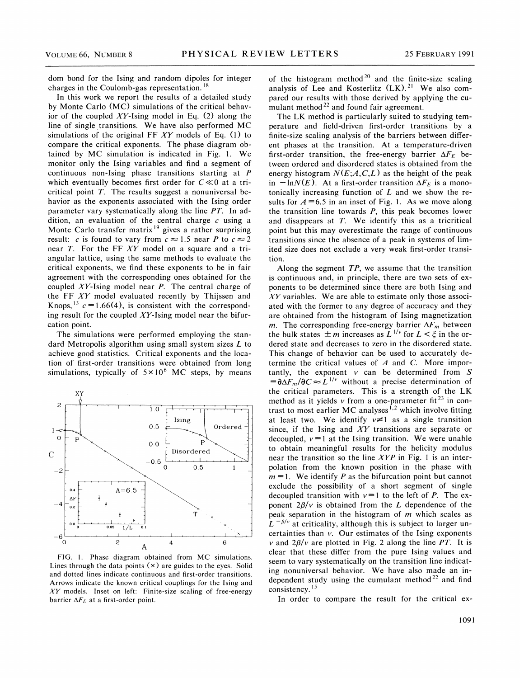dom bond for the Ising and random dipoles for integer charges in the Coulomb-gas representation. '

In this work we report the results of a detailed study by Monte Carlo (MC) simulations of the critical behavior of the coupled XY-Ising model in Eq.  $(2)$  along the line of single transitions. We have also performed MC simulations of the original FF  $XY$  models of Eq. (1) to compare the critical exponents. The phase diagram obtained by MC simulation is indicated in Fig. 1. We monitor only the Ising variables and find a segment of continuous non-Ising phase transitions starting at P which eventually becomes first order for  $C \ll 0$  at a tricritical point  $T$ . The results suggest a nonuniversal behavior as the exponents associated with the Ising order parameter vary systematically along the line PT. In addition, an evaluation of the central charge  $c$  using a Monte Carlo transfer matrix<sup>19</sup> gives a rather surprising result: c is found to vary from  $c \approx 1.5$  near P to  $c \approx 2$ near  $T$ . For the FF  $XY$  model on a square and a triangular lattice, using the same methods to evaluate the critical exponents, we find these exponents to be in fair agreement with the corresponding ones obtained for the coupled XY-Ising model near P. The central charge of the FF XY model evaluated recently by Thijssen and Knops, <sup>13</sup>  $c=1.66(4)$ , is consistent with the corresponding result for the coupled  $XY$ -Ising model near the bifurcation point.

The simulations were performed employing the standard Metropolis algorithm using small system sizes  $L$  to achieve good statistics. Critical exponents and the location of first-order transitions were obtained from long simulations, typically of  $5 \times 10^6$  MC steps, by means



FIG. 1. Phase diagram obtained from MC simulations. Lines through the data points  $(x)$  are guides to the eyes. Solid and dotted lines indicate continuous and first-order transitions. Arrows indicate the known critical couplings for the Ising and  $XY$  models. Inset on left: Finite-size scaling of free-energy barrier  $\Delta F_E$  at a first-order point.

of the histogram method<sup>20</sup> and the finite-size scaling analysis of Lee and Kosterlitz  $(LK)$ .<sup>21</sup> We also compared our results with those derived by applying the cumulant method<sup>22</sup> and found fair agreement.

The LK method is particularly suited to studying temperature and field-driven first-order transitions by a finite-size scaling analysis of the barriers between difrerent phases at the transition. At a temperature-driven first-order transition, the free-energy barrier  $\Delta F_E$  between ordered and disordered states is obtained from the energy histogram  $N(E; A, C, L)$  as the height of the peak in  $-\ln N(E)$ . At a first-order transition  $\Delta F_E$  is a monotonically increasing function of  $L$  and we show the results for  $A = 6.5$  in an inset of Fig. 1. As we move along the transition line towards  $P$ , this peak becomes lower and disappears at  $T$ . We identify this as a tricritical point but this may overestimate the range of continuous transitions since the absence of a peak in systems of limited size does not exclude a very weak first-order transition.

Along the segment  $TP$ , we assume that the transition is continuous and, in principle, there are two sets of exponents to be determined since there are both Ising and  $XY$  variables. We are able to estimate only those associated with the former to any degree of accuracy and they are obtained from the histogram of Ising magnetization m. The corresponding free-energy barrier  $\Delta F_m$  between *m*. The corresponding free-energy barrier  $\Delta F_m$  between<br>the bulk states  $\pm m$  increases as  $L^{1/\nu}$  for  $L < \xi$  in the ordered state and decreases to zero in the disordered state. This change of behavior can be used to accurately determine the critical values of  $A$  and  $C$ . More importantly, the exponent  $v$  can be determined from  $S$  $=\partial \Delta F_m/\partial C \approx L^{1/\nu}$  without a precise determination of the critical parameters. This is a strength of the LK method as it yields v from a one-parameter fit<sup>23</sup> in contrast to most earlier MC analyses<sup>1,2</sup> which involve fitting at least two. We identify  $v \neq 1$  as a single transition since, if the Ising and  $XY$  transitions are separate or decoupled,  $v=1$  at the Ising transition. We were unable to obtain meaningful results for the helicity modulus near the transition so the line  $XYP$  in Fig. 1 is an interpolation from the known position in the phase with  $m = 1$ . We identify P as the bifurcation point but cannot exclude the possibility of a short segment of single decoupled transition with  $v=1$  to the left of P. The exponent  $2\beta/\nu$  is obtained from the L dependence of the peak separation in the histogram of  $m$  which scales as  $L^{-\beta/\nu}$  at criticality, although this is subject to larger uncertainties than  $v$ . Our estimates of the Ising exponents v and  $2\beta/\nu$  are plotted in Fig. 2 along the line PT. It is clear that these differ from the pure Ising values and seem to vary systematically on the transition line indicating nonuniversal behavior. We have also made an independent study using the cumulant method<sup>22</sup> and find consistency.<sup>15</sup>

In order to compare the result for the critical ex-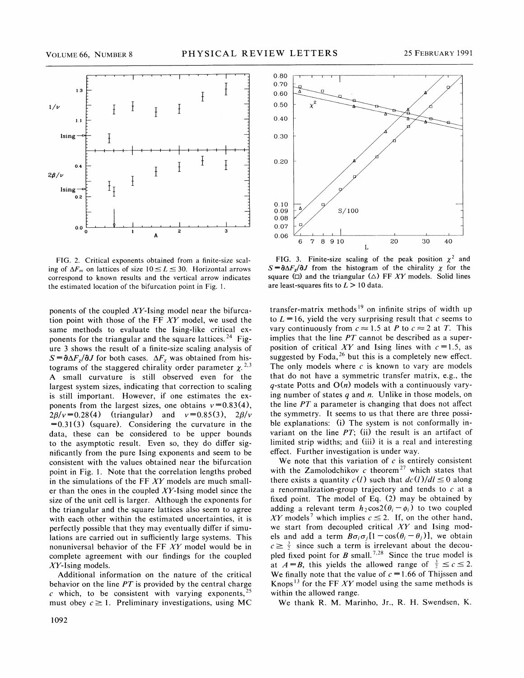

FIG. 2. Critical exponents obtained from a finite-size scaling of  $\Delta F_m$  on lattices of size  $10 \le L \le 30$ . Horizontal arrows correspond to known results and the vertical arrow indicates the estimated location of the bifurcation point in Fig. 1.

ponents of the coupled  $XY$ -Ising model near the bifurcation point with those of the  $FF$   $XY$  model, we used the same methods to evaluate the Ising-like critical exponents for the triangular and the square lattices.<sup>24</sup> Figure 3 shows the result of a finite-size scaling analysis of  $S = \partial \Delta F_x / \partial J$  for both cases.  $\Delta F_x$  was obtained from histograms of the staggered chirality order parameter  $\chi^{2,3}$ A small curvature is still observed even for the largest system sizes, indicating that correction to scaling is still important. However, if one estimates the exponents from the largest sizes, one obtains  $v=0.83(4)$ ,  $2\beta/v = 0.28(4)$  (triangular) and  $v = 0.85(3)$ ,  $2\beta/v$  $=0.31(3)$  (square). Considering the curvature in the data, these can be considered to be upper bounds to the asymptotic result. Even so, they do difter significantly from the pure Ising exponents and seem to be consistent with the values obtained near the bifurcation point in Fig. 1. Note that the correlation lengths probed in the simulations of the FF  $XY$  models are much smaller than the ones in the coupled  $XY$ -Ising model since the size of the unit cell is larger. Although the exponents for the triangular and the square lattices also seem to agree with each other within the estimated uncertainties, it is perfectly possible that they may eventually differ if simulations are carried out in sufficiently large systems. This nonuniversal behavior of the FF  $XY$  model would be in complete agreement with our findings for the coupled  $XY$ -Ising models.

Additional information on the nature of the critical behavior on the line  $PT$  is provided by the central charge  $c$  which, to be consistent with varying exponents,<sup>2</sup> must obey  $c \geq 1$ . Preliminary investigations, using MC



FIG. 3. Finite-size scaling of the peak position  $\chi^2$  and  $S = \partial \Delta F_x / \partial J$  from the histogram of the chirality  $\chi$  for the quare ( $\Box$ ) and the triangular ( $\triangle$ ) FF XY models. Solid lines are least-squares fits to  $L > 10$  data.

transfer-matrix methods<sup>19</sup> on infinite strips of width up to  $L = 16$ , yield the very surprising result that c seems to vary continuously from  $c \approx 1.5$  at P to  $c \approx 2$  at T. This implies that the line  $PT$  cannot be described as a superposition of critical XY and Ising lines with  $c = 1.5$ , as suggested by Foda,  $26$  but this is a completely new effect. The only models where  $c$  is known to vary are models hat do not have a symmetric transfer matrix, e.g., the q-state Potts and  $O(n)$  models with a continuously varyng number of states  $q$  and  $n$ . Unlike in those models, on the line  $PT$  a parameter is changing that does not affect the symmetry. It seems to us that there are three possible explanations: (i) The system is not conformally invariant on the line  $PT$ ; (ii) the result is an artifact of limited strip widths; and (iii) it is a real and interesting eftect. Further investigation is under way.

We note that this variation of  $c$  is entirely consistent with the Zamolodchikov  $c$  theorem<sup>27</sup> which states that there exists a quantity  $c(l)$  such that  $dc(l)/dl \leq 0$  along a renormalization-group trajectory and tends to  $c$  at a fixed point. The model of Eq. (2) may be obtained by adding a relevant term  $h_2 \cos 2(\theta_i - \phi_i)$  to two coupled XY models<sup>7</sup> which implies  $c \le 2$ . If, on the other hand, we start from decoupled critical  $XY$  and Ising models and add a term  $B\sigma_i\sigma_j[1-\cos(\theta_i-\theta_j)]$ , we obtain  $c \geq \frac{3}{2}$  since such a term is irrelevant about the decoupled fixed point for B small.<sup>7,28</sup> Since the true model is at  $A = B$ , this yields the allowed range of  $\frac{3}{2} \leq c \leq 2$ . We finally note that the value of  $c = 1.66$  of Thijssen and Knops<sup>13</sup> for the FF XY model using the same methods is within the allowed range.

We thank R. M. Marinho, 3r., R. H. Swendsen, K.